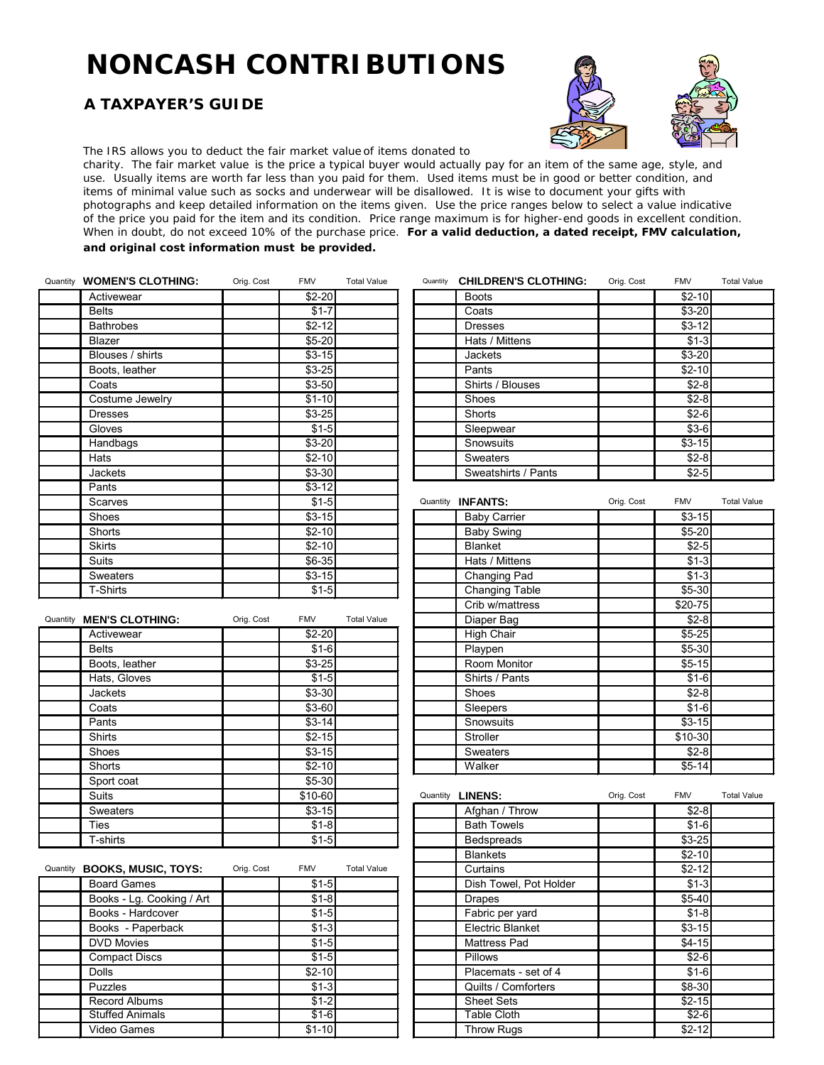## **NONCASH CONTRIBUTIONS**

## **A TAXPAYER'S GUIDE**



The IRS allows you to deduct the *fair market value* of items donated to

charity. The *fair market value* is the price a typical buyer would actually pay for an item of the same age, style, and use. Usually items are worth far less than you paid for them. Used items must be in good or better condition, and items of minimal value such as socks and underwear will be disallowed. It is wise to document your gifts with photographs and keep detailed information on the items given. Use the price ranges below to select a value indicative of the price you paid for the item and its condition. Price range maximum is for higher-end goods in excellent condition. When in doubt, do not exceed 10% of the purchase price. **For a valid deduction, a dated receipt, FMV calculation, and original cost information** *must* **be provided.**

| Quantity <b>WOMEN'S CLOTHING:</b> | Orig. Cost | <b>FMV</b> | <b>Total Value</b> | Quantity | <b>CHILDREN'S CLOTHING:</b> | Orig. Cost | <b>FMV</b> | <b>Total Value</b> |
|-----------------------------------|------------|------------|--------------------|----------|-----------------------------|------------|------------|--------------------|
| Activewear                        |            | $$2-20$    |                    |          | <b>Boots</b>                |            | $$2-10$    |                    |
| <b>Belts</b>                      |            | $$1-7$     |                    |          | Coats                       |            | $$3-20$    |                    |
| <b>Bathrobes</b>                  |            | $$2-12$    |                    |          | <b>Dresses</b>              |            | $$3-12$    |                    |
| Blazer                            |            | $$5-20$    |                    |          | Hats / Mittens              |            | $$1-3$     |                    |
| Blouses / shirts                  |            | $$3-15$    |                    |          | Jackets                     |            | $$3-20$    |                    |
| Boots, leather                    |            | $$3-25$    |                    |          | Pants                       |            | $$2-10$    |                    |
| Coats                             |            | $$3-50$    |                    |          | Shirts / Blouses            |            | $$2-8$     |                    |
| Costume Jewelry                   |            | $$1-10$    |                    |          | Shoes                       |            | $$2-8$     |                    |
| <b>Dresses</b>                    |            | $$3-25$    |                    |          | Shorts                      |            | $$2-6$     |                    |
| Gloves                            |            | $$1-5$     |                    |          | Sleepwear                   |            | $$3-6$     |                    |
| Handbags                          |            | $$3-20$    |                    |          | Snowsuits                   |            | $$3-15$    |                    |
| Hats                              |            | $$2-10$    |                    |          | Sweaters                    |            | $$2-8$     |                    |
| <b>Jackets</b>                    |            | $$3-30$    |                    |          | Sweatshirts / Pants         |            | $$2-5$     |                    |
| Pants                             |            | $$3-12$    |                    |          |                             |            |            |                    |
| Scarves                           |            | $$1-5$     |                    |          | Quantity <b>INFANTS:</b>    | Orig. Cost | <b>FMV</b> | <b>Total Value</b> |
| Shoes                             |            | $$3-15$    |                    |          | <b>Baby Carrier</b>         |            | $$3-15$    |                    |
| Shorts                            |            | $$2-10$    |                    |          | <b>Baby Swing</b>           |            | $$5-20$    |                    |
| <b>Skirts</b>                     |            | $$2-10$    |                    |          | <b>Blanket</b>              |            | $$2-5$     |                    |
| <b>Suits</b>                      |            | $$6-35$    |                    |          | Hats / Mittens              |            | $$1-3$     |                    |
| Sweaters                          |            | $$3-15$    |                    |          | Changing Pad                |            | $$1-3$     |                    |
| <b>T-Shirts</b>                   |            | $$1-5$     |                    |          | Changing Table              |            | \$5-30     |                    |
|                                   |            |            |                    |          | Crib w/mattress             |            | \$20-75    |                    |
| Quantity <b>MEN'S CLOTHING:</b>   | Orig. Cost | <b>FMV</b> | <b>Total Value</b> |          | Diaper Bag                  |            | $$2-8$     |                    |
| Activewear                        |            | $$2-20$    |                    |          | <b>High Chair</b>           |            | $$5-25$    |                    |
| <b>Belts</b>                      |            | $$1-6$     |                    |          | Playpen                     |            | $$5-30$    |                    |
| Boots, leather                    |            | $$3-25$    |                    |          | Room Monitor                |            | $$5-15$    |                    |
| Hote Cloves                       |            | $Q_1E$     |                    |          | Chirto / Donte              |            | $Q_1$ $R$  |                    |

| Quantity | <b>CHILDREN'S CLOTHING:</b> | Orig. Cost | <b>FMV</b> | <b>Total Value</b> |
|----------|-----------------------------|------------|------------|--------------------|
|          | <b>Boots</b>                |            | $$2-10$    |                    |
|          | Coats                       |            | $$3-20$    |                    |
|          | <b>Dresses</b>              |            | $$3-12$    |                    |
|          | Hats / Mittens              |            | $$1-3$     |                    |
|          | <b>Jackets</b>              |            | $$3-20$    |                    |
|          | Pants                       |            | $$2-10$    |                    |
|          | Shirts / Blouses            |            | $$2-8$     |                    |
|          | Shoes                       |            | $$2-8$     |                    |
|          | Shorts                      |            | $$2-6$     |                    |
|          | Sleepwear                   |            | $$3-6$     |                    |
|          | Snowsuits                   |            | $$3-15$    |                    |
|          | <b>Sweaters</b>             |            | $$2-8$     |                    |
|          | Sweatshirts / Pants         |            | $$2-5$     |                    |

| י טווש                 | ΨV 14             |                    |          |                     |            |            |                    |
|------------------------|-------------------|--------------------|----------|---------------------|------------|------------|--------------------|
| Scarves                |                   | $$1-5$             | Quantity | <b>INFANTS:</b>     | Orig. Cost | <b>FMV</b> | <b>Total Value</b> |
| Shoes                  | $$3-15$           |                    |          | <b>Baby Carrier</b> |            | $$3-15$    |                    |
| Shorts                 | $$2-10$           |                    |          | <b>Baby Swing</b>   |            | $$5-20$    |                    |
| <b>Skirts</b>          | $$2-10$           |                    |          | <b>Blanket</b>      |            | $$2-5$     |                    |
| Suits                  | $$6-35$           |                    |          | Hats / Mittens      |            | $$1-3$     |                    |
| Sweaters               | $$3-15$           |                    |          | Changing Pad        |            | $$1-3$     |                    |
| T-Shirts               |                   | $$1-5$             |          | Changing Table      |            | $$5-30$    |                    |
|                        |                   |                    |          | Crib w/mattress     |            | $$20-75$   |                    |
| <b>MEN'S CLOTHING:</b> | Orig. Cost<br>FMV | <b>Total Value</b> |          | Diaper Bag          |            | $$2-8$     |                    |
| Activewear             | $$2-20$           |                    |          | <b>High Chair</b>   |            | $$5-25$    |                    |
| <b>Belts</b>           |                   | $$1-6$             |          | Playpen             |            | $$5-30$    |                    |
| Boots, leather         | $$3-25$           |                    |          | Room Monitor        |            | $$5-15$    |                    |
| Hats, Gloves           |                   | $$1-5$             |          | Shirts / Pants      |            | $$1-6$     |                    |
| <b>Jackets</b>         | $$3-30$           |                    |          | Shoes               |            | $$2-8$     |                    |
| Coats                  | $$3-60$           |                    |          | Sleepers            |            | $$1-6$     |                    |
| Pants                  | $$3-14$           |                    |          | Snowsuits           |            | $$3-15$    |                    |
| Shirts                 | $$2-15$           |                    |          | Stroller            |            | $$10-30$   |                    |
| Shoes                  | $$3-15$           |                    |          | Sweaters            |            | $$2-8$     |                    |
| Shorts                 | $$2-10$           |                    |          | Walker              |            | $$5-14$    |                    |

| <b>Suits</b>               |            | \$10-60    |                    |  | Quantity <b>LINENS:</b> | Orig. Cost | <b>FMV</b> | <b>Total Value</b> |
|----------------------------|------------|------------|--------------------|--|-------------------------|------------|------------|--------------------|
| <b>Sweaters</b>            |            | $$3-15$    |                    |  | Afghan / Throw          |            | $$2-8$     |                    |
| Ties                       |            | $$1-8$     |                    |  | <b>Bath Towels</b>      |            | $$1-6$     |                    |
| T-shirts                   |            | $$1-5$     |                    |  | <b>Bedspreads</b>       |            | $$3-25$    |                    |
|                            |            |            |                    |  | <b>Blankets</b>         |            | $$2-10$    |                    |
| <b>BOOKS, MUSIC, TOYS:</b> | Orig. Cost | <b>FMV</b> | <b>Total Value</b> |  | Curtains                |            | $$2-12$    |                    |
| <b>Board Games</b>         |            | $$1-5$     |                    |  | Dish Towel, Pot Holder  |            | $$1-3$     |                    |
| Books - Lg. Cooking / Art  |            | $$1-8$     |                    |  | <b>Drapes</b>           |            | $$5-40$    |                    |
| Books - Hardcover          |            | $$1-5$     |                    |  | Fabric per yard         |            | $$1-8$     |                    |
| Books - Paperback          |            | $$1-3$     |                    |  | Electric Blanket        |            | $$3-15$    |                    |
| <b>DVD Movies</b>          |            | $$1-5$     |                    |  | Mattress Pad            |            | $$4-15$    |                    |
| <b>Compact Discs</b>       |            | $$1-5$     |                    |  | <b>Pillows</b>          |            | $$2-6$     |                    |
| <b>Dolls</b>               |            | $$2-10$    |                    |  | Placemats - set of 4    |            | $$1-6$     |                    |
| <b>Puzzles</b>             |            | $$1-3$     |                    |  | Quilts / Comforters     |            | $$8-30$    |                    |
| Record Albums              |            | $$1-2$     |                    |  | <b>Sheet Sets</b>       |            | $$2-15$    |                    |
| <b>Stuffed Animals</b>     |            | $$1-6$     |                    |  | Table Cloth             |            | $$2-6$     |                    |
| Video Games                |            | $$1-10$    |                    |  | <b>Throw Rugs</b>       |            | $$2-12$    |                    |

| Quantity <b>BOOKS, MUSIC, TOYS:</b> | Orig. Cost | <b>FMV</b> | <b>Total Value</b> | Curtains               | $$2-12$  |
|-------------------------------------|------------|------------|--------------------|------------------------|----------|
| <b>Board Games</b>                  |            | $$1-5$     |                    | Dish Towel, Pot Holder | $$1-3$   |
| Books - Lg. Cooking / Art           |            | $$1 - 8$   |                    | <b>Drapes</b>          | $$5-40$  |
| Books - Hardcover                   |            | $$1-5$     |                    | Fabric per yard        | $$1 - 8$ |
| Books - Paperback                   |            | $$1-3$     |                    | Electric Blanket       | $$3-15$  |
| <b>DVD Movies</b>                   |            | $$1-5$     |                    | <b>Mattress Pad</b>    | $$4-15$  |
| <b>Compact Discs</b>                |            | $$1-5$     |                    | <b>Pillows</b>         | $$2-6$   |
| <b>Dolls</b>                        |            | $$2-10$    |                    | Placemats - set of 4   | $$1 - 6$ |
| <b>Puzzles</b>                      |            | $$1-3$     |                    | Quilts / Comforters    | \$8-30   |
| Record Albums                       |            | $$1-2$     |                    | <b>Sheet Sets</b>      | $$2-15$  |
| <b>Stuffed Animals</b>              |            | $$1-6$     |                    | Table Cloth            | $$2-6$   |
| Video Games                         |            | $$1-10$    |                    | <b>Throw Ruas</b>      | $$2-12$  |

Sport coat 1 \$5-30